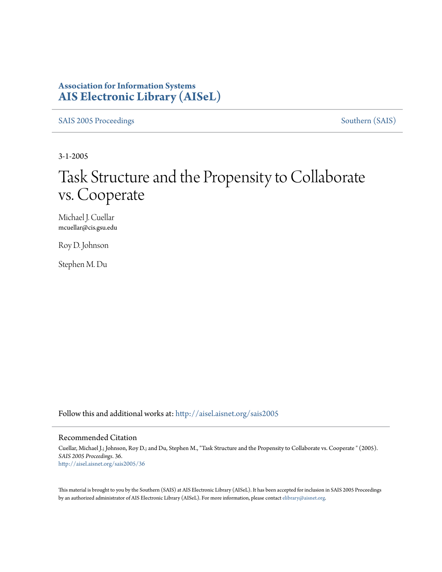### **Association for Information Systems [AIS Electronic Library \(AISeL\)](http://aisel.aisnet.org?utm_source=aisel.aisnet.org%2Fsais2005%2F36&utm_medium=PDF&utm_campaign=PDFCoverPages)**

[SAIS 2005 Proceedings](http://aisel.aisnet.org/sais2005?utm_source=aisel.aisnet.org%2Fsais2005%2F36&utm_medium=PDF&utm_campaign=PDFCoverPages) [Southern \(SAIS\)](http://aisel.aisnet.org/sais?utm_source=aisel.aisnet.org%2Fsais2005%2F36&utm_medium=PDF&utm_campaign=PDFCoverPages)

3-1-2005

# Task Structure and the Propensity to Collaborate vs. Cooperate

Michael J. Cuellar mcuellar@cis.gsu.edu

Roy D. Johnson

Stephen M. Du

Follow this and additional works at: [http://aisel.aisnet.org/sais2005](http://aisel.aisnet.org/sais2005?utm_source=aisel.aisnet.org%2Fsais2005%2F36&utm_medium=PDF&utm_campaign=PDFCoverPages)

#### Recommended Citation

Cuellar, Michael J.; Johnson, Roy D.; and Du, Stephen M., "Task Structure and the Propensity to Collaborate vs. Cooperate " (2005). *SAIS 2005 Proceedings*. 36. [http://aisel.aisnet.org/sais2005/36](http://aisel.aisnet.org/sais2005/36?utm_source=aisel.aisnet.org%2Fsais2005%2F36&utm_medium=PDF&utm_campaign=PDFCoverPages)

This material is brought to you by the Southern (SAIS) at AIS Electronic Library (AISeL). It has been accepted for inclusion in SAIS 2005 Proceedings by an authorized administrator of AIS Electronic Library (AISeL). For more information, please contact [elibrary@aisnet.org](mailto:elibrary@aisnet.org%3E).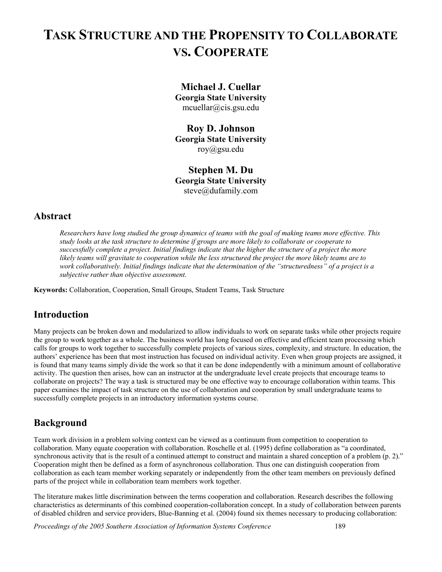## **TASK STRUCTURE AND THE PROPENSITY TO COLLABORATE VS. COOPERATE**

**Michael J. Cuellar Georgia State University**  mcuellar@cis.gsu.edu

**Roy D. Johnson Georgia State University**  roy@gsu.edu

**Stephen M. Du Georgia State University**  steve@dufamily.com

### **Abstract**

*Researchers have long studied the group dynamics of teams with the goal of making teams more effective. This study looks at the task structure to determine if groups are more likely to collaborate or cooperate to successfully complete a project. Initial findings indicate that the higher the structure of a project the more likely teams will gravitate to cooperation while the less structured the project the more likely teams are to work collaboratively. Initial findings indicate that the determination of the "structuredness" of a project is a subjective rather than objective assessment.* 

**Keywords:** Collaboration, Cooperation, Small Groups, Student Teams, Task Structure

### **Introduction**

Many projects can be broken down and modularized to allow individuals to work on separate tasks while other projects require the group to work together as a whole. The business world has long focused on effective and efficient team processing which calls for groups to work together to successfully complete projects of various sizes, complexity, and structure. In education, the authors' experience has been that most instruction has focused on individual activity. Even when group projects are assigned, it is found that many teams simply divide the work so that it can be done independently with a minimum amount of collaborative activity. The question then arises, how can an instructor at the undergraduate level create projects that encourage teams to collaborate on projects? The way a task is structured may be one effective way to encourage collaboration within teams. This paper examines the impact of task structure on the use of collaboration and cooperation by small undergraduate teams to successfully complete projects in an introductory information systems course.

### **Background**

Team work division in a problem solving context can be viewed as a continuum from competition to cooperation to collaboration. Many equate cooperation with collaboration. Roschelle et al. (1995) define collaboration as "a coordinated, synchronous activity that is the result of a continued attempt to construct and maintain a shared conception of a problem (p. 2)." Cooperation might then be defined as a form of asynchronous collaboration. Thus one can distinguish cooperation from collaboration as each team member working separately or independently from the other team members on previously defined parts of the project while in collaboration team members work together.

The literature makes little discrimination between the terms cooperation and collaboration. Research describes the following characteristics as determinants of this combined cooperation-collaboration concept. In a study of collaboration between parents of disabled children and service providers, Blue-Banning et al. (2004) found six themes necessary to producing collaboration:

*Proceedings of the 2005 Southern Association of Information Systems Conference* 189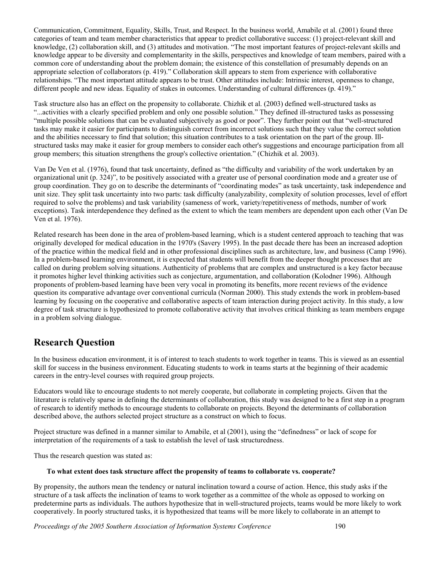Communication, Commitment, Equality, Skills, Trust, and Respect. In the business world, Amabile et al. (2001) found three categories of team and team member characteristics that appear to predict collaborative success: (1) project-relevant skill and knowledge, (2) collaboration skill, and (3) attitudes and motivation. "The most important features of project-relevant skills and knowledge appear to be diversity and complementarity in the skills, perspectives and knowledge of team members, paired with a common core of understanding about the problem domain; the existence of this constellation of presumably depends on an appropriate selection of collaborators (p. 419)." Collaboration skill appears to stem from experience with collaborative relationships. "The most important attitude appears to be trust. Other attitudes include: Intrinsic interest, openness to change, different people and new ideas. Equality of stakes in outcomes. Understanding of cultural differences (p. 419)."

Task structure also has an effect on the propensity to collaborate. Chizhik et al. (2003) defined well-structured tasks as "...activities with a clearly specified problem and only one possible solution." They defined ill-structured tasks as possessing "multiple possible solutions that can be evaluated subjectively as good or poor". They further point out that "well-structured tasks may make it easier for participants to distinguish correct from incorrect solutions such that they value the correct solution and the abilities necessary to find that solution; this situation contributes to a task orientation on the part of the group. Illstructured tasks may make it easier for group members to consider each other's suggestions and encourage participation from all group members; this situation strengthens the group's collective orientation." (Chizhik et al. 2003).

Van De Ven et al. (1976), found that task uncertainty, defined as "the difficulty and variability of the work undertaken by an organizational unit (p. 324)", to be positively associated with a greater use of personal coordination mode and a greater use of group coordination. They go on to describe the determinants of "coordinating modes" as task uncertainty, task independence and unit size. They split task uncertainty into two parts: task difficulty (analyzability, complexity of solution processes, level of effort required to solve the problems) and task variability (sameness of work, variety/repetitiveness of methods, number of work exceptions). Task interdependence they defined as the extent to which the team members are dependent upon each other (Van De Ven et al. 1976).

Related research has been done in the area of problem-based learning, which is a student centered approach to teaching that was originally developed for medical education in the 1970's (Savery 1995). In the past decade there has been an increased adoption of the practice within the medical field and in other professional disciplines such as architecture, law, and business (Camp 1996). In a problem-based learning environment, it is expected that students will benefit from the deeper thought processes that are called on during problem solving situations. Authenticity of problems that are complex and unstructured is a key factor because it promotes higher level thinking activities such as conjecture, argumentation, and collaboration (Kolodner 1996). Although proponents of problem-based learning have been very vocal in promoting its benefits, more recent reviews of the evidence question its comparative advantage over conventional curricula (Norman 2000). This study extends the work in problem-based learning by focusing on the cooperative and collaborative aspects of team interaction during project activity. In this study, a low degree of task structure is hypothesized to promote collaborative activity that involves critical thinking as team members engage in a problem solving dialogue.

### **Research Question**

In the business education environment, it is of interest to teach students to work together in teams. This is viewed as an essential skill for success in the business environment. Educating students to work in teams starts at the beginning of their academic careers in the entry-level courses with required group projects.

Educators would like to encourage students to not merely cooperate, but collaborate in completing projects. Given that the literature is relatively sparse in defining the determinants of collaboration, this study was designed to be a first step in a program of research to identify methods to encourage students to collaborate on projects. Beyond the determinants of collaboration described above, the authors selected project structure as a construct on which to focus.

Project structure was defined in a manner similar to Amabile, et al (2001), using the "definedness" or lack of scope for interpretation of the requirements of a task to establish the level of task structuredness.

Thus the research question was stated as:

#### **To what extent does task structure affect the propensity of teams to collaborate vs. cooperate?**

By propensity, the authors mean the tendency or natural inclination toward a course of action. Hence, this study asks if the structure of a task affects the inclination of teams to work together as a committee of the whole as opposed to working on predetermine parts as individuals. The authors hypothesize that in well-structured projects, teams would be more likely to work cooperatively. In poorly structured tasks, it is hypothesized that teams will be more likely to collaborate in an attempt to

*Proceedings of the 2005 Southern Association of Information Systems Conference* 190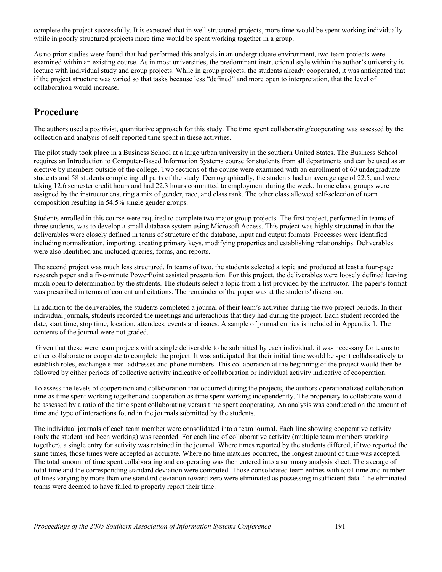complete the project successfully. It is expected that in well structured projects, more time would be spent working individually while in poorly structured projects more time would be spent working together in a group.

As no prior studies were found that had performed this analysis in an undergraduate environment, two team projects were examined within an existing course. As in most universities, the predominant instructional style within the author's university is lecture with individual study and group projects. While in group projects, the students already cooperated, it was anticipated that if the project structure was varied so that tasks because less "defined" and more open to interpretation, that the level of collaboration would increase.

### **Procedure**

The authors used a positivist, quantitative approach for this study. The time spent collaborating/cooperating was assessed by the collection and analysis of self-reported time spent in these activities.

The pilot study took place in a Business School at a large urban university in the southern United States. The Business School requires an Introduction to Computer-Based Information Systems course for students from all departments and can be used as an elective by members outside of the college. Two sections of the course were examined with an enrollment of 60 undergraduate students and 58 students completing all parts of the study. Demographically, the students had an average age of 22.5, and were taking 12.6 semester credit hours and had 22.3 hours committed to employment during the week. In one class, groups were assigned by the instructor ensuring a mix of gender, race, and class rank. The other class allowed self-selection of team composition resulting in 54.5% single gender groups.

Students enrolled in this course were required to complete two major group projects. The first project, performed in teams of three students, was to develop a small database system using Microsoft Access. This project was highly structured in that the deliverables were closely defined in terms of structure of the database, input and output formats. Processes were identified including normalization, importing, creating primary keys, modifying properties and establishing relationships. Deliverables were also identified and included queries, forms, and reports.

The second project was much less structured. In teams of two, the students selected a topic and produced at least a four-page research paper and a five-minute PowerPoint assisted presentation. For this project, the deliverables were loosely defined leaving much open to determination by the students. The students select a topic from a list provided by the instructor. The paper's format was prescribed in terms of content and citations. The remainder of the paper was at the students' discretion.

In addition to the deliverables, the students completed a journal of their team's activities during the two project periods. In their individual journals, students recorded the meetings and interactions that they had during the project. Each student recorded the date, start time, stop time, location, attendees, events and issues. A sample of journal entries is included in Appendix 1. The contents of the journal were not graded.

 Given that these were team projects with a single deliverable to be submitted by each individual, it was necessary for teams to either collaborate or cooperate to complete the project. It was anticipated that their initial time would be spent collaboratively to establish roles, exchange e-mail addresses and phone numbers. This collaboration at the beginning of the project would then be followed by either periods of collective activity indicative of collaboration or individual activity indicative of cooperation.

To assess the levels of cooperation and collaboration that occurred during the projects, the authors operationalized collaboration time as time spent working together and cooperation as time spent working independently. The propensity to collaborate would be assessed by a ratio of the time spent collaborating versus time spent cooperating. An analysis was conducted on the amount of time and type of interactions found in the journals submitted by the students.

The individual journals of each team member were consolidated into a team journal. Each line showing cooperative activity (only the student had been working) was recorded. For each line of collaborative activity (multiple team members working together), a single entry for activity was retained in the journal. Where times reported by the students differed, if two reported the same times, those times were accepted as accurate. Where no time matches occurred, the longest amount of time was accepted. The total amount of time spent collaborating and cooperating was then entered into a summary analysis sheet. The average of total time and the corresponding standard deviation were computed. Those consolidated team entries with total time and number of lines varying by more than one standard deviation toward zero were eliminated as possessing insufficient data. The eliminated teams were deemed to have failed to properly report their time.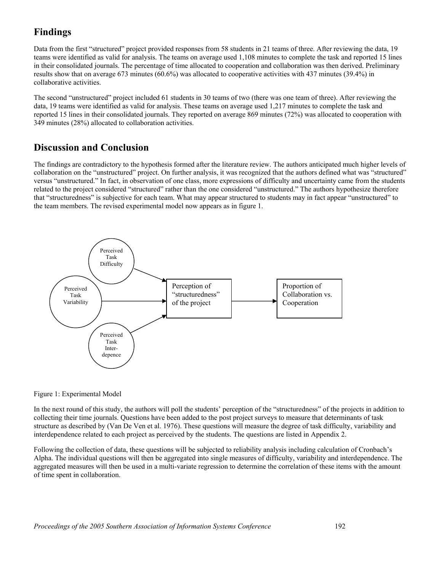### **Findings**

Data from the first "structured" project provided responses from 58 students in 21 teams of three. After reviewing the data, 19 teams were identified as valid for analysis. The teams on average used 1,108 minutes to complete the task and reported 15 lines in their consolidated journals. The percentage of time allocated to cooperation and collaboration was then derived. Preliminary results show that on average 673 minutes (60.6%) was allocated to cooperative activities with 437 minutes (39.4%) in collaborative activities.

The second "unstructured" project included 61 students in 30 teams of two (there was one team of three). After reviewing the data, 19 teams were identified as valid for analysis. These teams on average used 1,217 minutes to complete the task and reported 15 lines in their consolidated journals. They reported on average 869 minutes (72%) was allocated to cooperation with 349 minutes (28%) allocated to collaboration activities.

### **Discussion and Conclusion**

The findings are contradictory to the hypothesis formed after the literature review. The authors anticipated much higher levels of collaboration on the "unstructured" project. On further analysis, it was recognized that the authors defined what was "structured" versus "unstructured." In fact, in observation of one class, more expressions of difficulty and uncertainty came from the students related to the project considered "structured" rather than the one considered "unstructured." The authors hypothesize therefore that "structuredness" is subjective for each team. What may appear structured to students may in fact appear "unstructured" to the team members. The revised experimental model now appears as in figure 1.



#### Figure 1: Experimental Model

In the next round of this study, the authors will poll the students' perception of the "structuredness" of the projects in addition to collecting their time journals. Questions have been added to the post project surveys to measure that determinants of task structure as described by (Van De Ven et al. 1976). These questions will measure the degree of task difficulty, variability and interdependence related to each project as perceived by the students. The questions are listed in Appendix 2.

Following the collection of data, these questions will be subjected to reliability analysis including calculation of Cronbach's Alpha. The individual questions will then be aggregated into single measures of difficulty, variability and interdependence. The aggregated measures will then be used in a multi-variate regression to determine the correlation of these items with the amount of time spent in collaboration.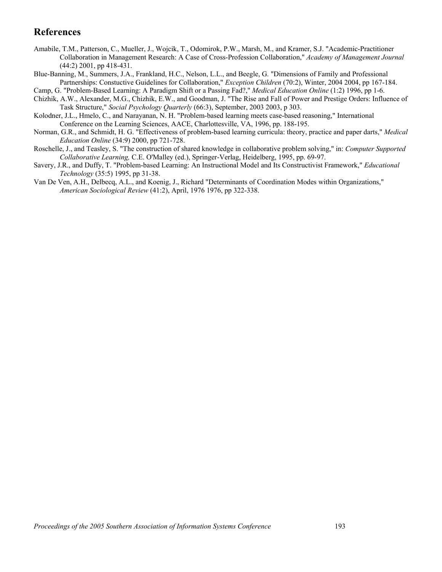### **References**

- Amabile, T.M., Patterson, C., Mueller, J., Wojcik, T., Odomirok, P.W., Marsh, M., and Kramer, S.J. "Academic-Practitioner Collaboration in Management Research: A Case of Cross-Profession Collaboration," *Academy of Management Journal* (44:2) 2001, pp 418-431.
- Blue-Banning, M., Summers, J.A., Frankland, H.C., Nelson, L.L., and Beegle, G. "Dimensions of Family and Professional Partnerships: Constuctive Guidelines for Collaboration," *Exception Children* (70:2), Winter, 2004 2004, pp 167-184.

Camp, G. "Problem-Based Learning: A Paradigm Shift or a Passing Fad?," *Medical Education Online* (1:2) 1996, pp 1-6.

- Chizhik, A.W., Alexander, M.G., Chizhik, E.W., and Goodman, J. "The Rise and Fall of Power and Prestige Orders: Influence of Task Structure," *Social Psychology Quarterly* (66:3), September, 2003 2003, p 303.
- Kolodner, J.L., Hmelo, C., and Narayanan, N. H. "Problem-based learning meets case-based reasoning," International Conference on the Learning Sciences, AACE, Charlottesville, VA, 1996, pp. 188-195.
- Norman, G.R., and Schmidt, H. G. "Effectiveness of problem-based learning curricula: theory, practice and paper darts," *Medical Education Online* (34:9) 2000, pp 721-728.
- Roschelle, J., and Teasley, S. "The construction of shared knowledge in collaborative problem solving," in: *Computer Supported Collaborative Learning,* C.E. O'Malley (ed.), Springer-Verlag, Heidelberg, 1995, pp. 69-97.
- Savery, J.R., and Duffy, T. "Problem-based Learning: An Instructional Model and Its Constructivist Framework," *Educational Technology* (35:5) 1995, pp 31-38.
- Van De Ven, A.H., Delbecq, A.L., and Koenig, J., Richard "Determinants of Coordination Modes within Organizations," *American Sociological Review* (41:2), April, 1976 1976, pp 322-338.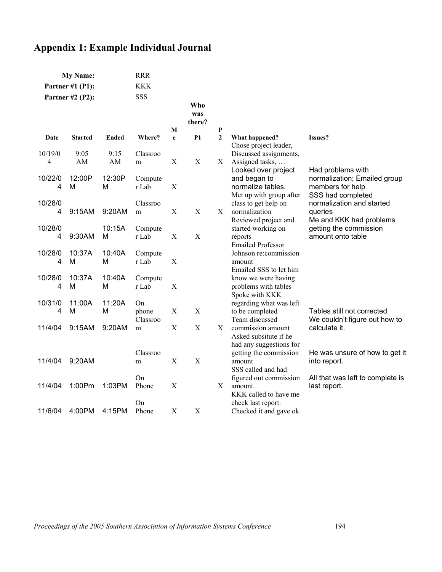## **Appendix 1: Example Individual Journal**

| <b>My Name:</b>         |                |              | <b>RRR</b>       |             |                      |              |                                                                                     |                                                                                            |
|-------------------------|----------------|--------------|------------------|-------------|----------------------|--------------|-------------------------------------------------------------------------------------|--------------------------------------------------------------------------------------------|
| Partner #1 $(P1)$ :     |                |              | <b>KKK</b>       |             |                      |              |                                                                                     |                                                                                            |
| <b>Partner #2 (P2):</b> |                | <b>SSS</b>   |                  |             |                      |              |                                                                                     |                                                                                            |
|                         |                |              |                  | M           | Who<br>was<br>there? | P            |                                                                                     |                                                                                            |
| Date                    | <b>Started</b> | <b>Ended</b> | Where?           | e           | <b>P1</b>            | $\mathbf{2}$ | What happened?                                                                      | Issues?                                                                                    |
|                         |                |              |                  |             |                      |              | Chose project leader,                                                               |                                                                                            |
| 10/19/0                 | 9:05           | 9:15         | Classroo         |             |                      |              | Discussed assignments,                                                              |                                                                                            |
| 4                       | AM             | AM           | m                | $\mathbf X$ | X                    | Χ            | Assigned tasks,                                                                     |                                                                                            |
| 10/22/0<br>4            | 12:00P<br>м    | 12:30P<br>М  | Compute<br>r Lab | $\mathbf X$ |                      |              | Looked over project<br>and began to<br>normalize tables.<br>Met up with group after | Had problems with<br>normalization; Emailed group<br>members for help<br>SSS had completed |
| 10/28/0                 |                |              | Classroo         |             |                      |              | class to get help on                                                                | normalization and started                                                                  |
| 4                       | 9:15AM         | 9:20AM       | m                | X           | $\mathbf X$          | X            | normalization                                                                       | queries                                                                                    |
|                         |                |              |                  |             |                      |              | Reviewed project and                                                                | Me and KKK had problems                                                                    |
| 10/28/0                 |                | 10:15A       | Compute          |             |                      |              | started working on                                                                  | getting the commission                                                                     |
| 4                       | 9:30AM         | м            | r Lab            | X           | X                    |              | reports                                                                             | amount onto table                                                                          |
| 10/28/0                 | 10:37A         | 10:40A       | Compute          |             |                      |              | <b>Emailed Professor</b><br>Johnson re:commission                                   |                                                                                            |
| 4                       | M              | М            | r Lab            | X           |                      |              | amount                                                                              |                                                                                            |
|                         |                |              |                  |             |                      |              | Emailed SSS to let him                                                              |                                                                                            |
| 10/28/0                 | 10:37A         | 10:40A       | Compute          |             |                      |              | know we were having                                                                 |                                                                                            |
| 4                       | M              | M            | r Lab            | X           |                      |              | problems with tables                                                                |                                                                                            |
|                         |                |              |                  |             |                      |              | Spoke with KKK                                                                      |                                                                                            |
| 10/31/0                 | 11:00A         | 11:20A       | On               |             |                      |              | regarding what was left                                                             |                                                                                            |
| 4                       | M              | M            | phone            | $\mathbf X$ | $\mathbf X$          |              | to be completed                                                                     | Tables still not corrected                                                                 |
| 11/4/04                 | 9:15AM         | 9:20AM       | Classroo         | $\mathbf X$ | X                    |              | Team discussed<br>commission amount                                                 | We couldn't figure out how to                                                              |
|                         |                |              | m                |             |                      | Χ            | Asked subsitute if he                                                               | calculate it.                                                                              |
|                         |                |              |                  |             |                      |              | had any suggestions for                                                             |                                                                                            |
|                         |                |              | Classroo         |             |                      |              | getting the commission                                                              | He was unsure of how to get it                                                             |
| 11/4/04                 | 9:20AM         |              | m                | $\mathbf X$ | $\mathbf X$          |              | amount                                                                              | into report.                                                                               |
|                         |                |              |                  |             |                      |              | SSS called and had                                                                  |                                                                                            |
|                         |                |              | On               |             |                      |              | figured out commission                                                              | All that was left to complete is                                                           |
| 11/4/04                 | 1:00Pm         | 1:03PM       | Phone            | X           |                      | X            | amount.                                                                             | last report.                                                                               |
|                         |                |              |                  |             |                      |              | KKK called to have me                                                               |                                                                                            |
| 11/6/04                 | 4:00PM         | 4:15PM       | On<br>Phone      | X           | X                    |              | check last report.<br>Checked it and gave ok.                                       |                                                                                            |
|                         |                |              |                  |             |                      |              |                                                                                     |                                                                                            |